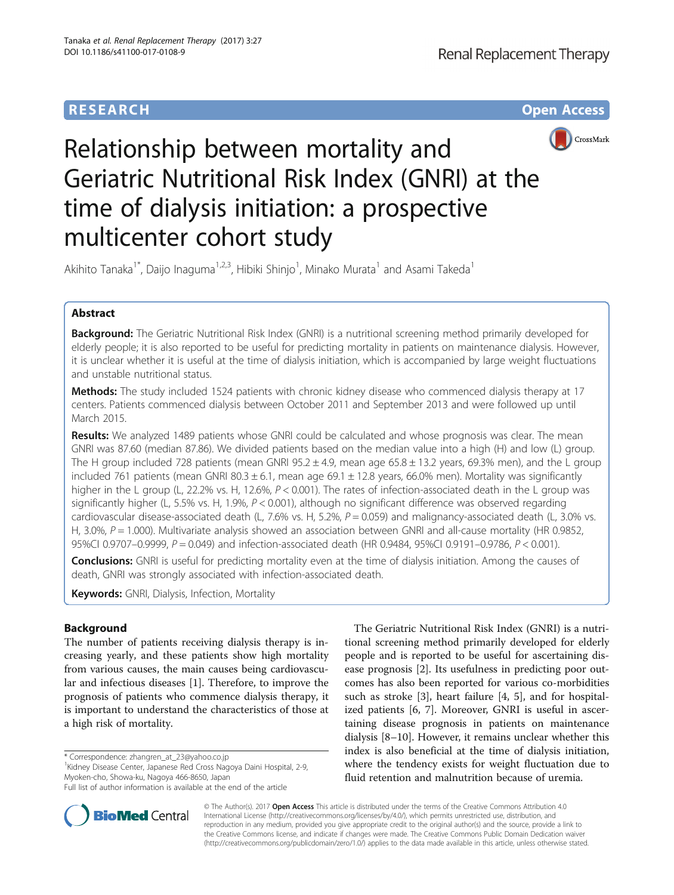## **RESEARCH CHE Open Access**



# Relationship between mortality and Geriatric Nutritional Risk Index (GNRI) at the time of dialysis initiation: a prospective multicenter cohort study

Akihito Tanaka $^{\dagger}$ , Daijo Inaguma $^{\dagger,2,3}$ , Hibiki Shinjo $^{\dagger}$ , Minako Murata $^{\dagger}$  and Asami Takeda $^{\dagger}$ 

## Abstract

Background: The Geriatric Nutritional Risk Index (GNRI) is a nutritional screening method primarily developed for elderly people; it is also reported to be useful for predicting mortality in patients on maintenance dialysis. However, it is unclear whether it is useful at the time of dialysis initiation, which is accompanied by large weight fluctuations and unstable nutritional status.

Methods: The study included 1524 patients with chronic kidney disease who commenced dialysis therapy at 17 centers. Patients commenced dialysis between October 2011 and September 2013 and were followed up until March 2015.

Results: We analyzed 1489 patients whose GNRI could be calculated and whose prognosis was clear. The mean GNRI was 87.60 (median 87.86). We divided patients based on the median value into a high (H) and low (L) group. The H group included 728 patients (mean GNRI  $95.2 \pm 4.9$ , mean age  $65.8 \pm 13.2$  years, 69.3% men), and the L group included 761 patients (mean GNRI 80.3  $\pm$  6.1, mean age 69.1  $\pm$  12.8 years, 66.0% men). Mortality was significantly higher in the L group (L, 22.2% vs. H, 12.6%,  $P < 0.001$ ). The rates of infection-associated death in the L group was significantly higher (L, 5.5% vs. H, 1.9%,  $P < 0.001$ ), although no significant difference was observed regarding cardiovascular disease-associated death (L, 7.6% vs. H, 5.2%,  $P = 0.059$ ) and malignancy-associated death (L, 3.0% vs. H, 3.0%,  $P = 1.000$ ). Multivariate analysis showed an association between GNRI and all-cause mortality (HR 0.9852, 95%CI 0.9707–0.9999, P = 0.049) and infection-associated death (HR 0.9484, 95%CI 0.9191–0.9786, P < 0.001).

Conclusions: GNRI is useful for predicting mortality even at the time of dialysis initiation. Among the causes of death, GNRI was strongly associated with infection-associated death.

**Keywords:** GNRI, Dialysis, Infection, Mortality

## Background

The number of patients receiving dialysis therapy is increasing yearly, and these patients show high mortality from various causes, the main causes being cardiovascular and infectious diseases [\[1](#page-6-0)]. Therefore, to improve the prognosis of patients who commence dialysis therapy, it is important to understand the characteristics of those at a high risk of mortality.

\* Correspondence: [zhangren\\_at\\_23@yahoo.co.jp](mailto:zhangren_at_23@yahoo.co.jp) <sup>1</sup>

**BioMed Central** 

<sup>1</sup> Kidney Disease Center, Japanese Red Cross Nagoya Daini Hospital, 2-9, Myoken-cho, Showa-ku, Nagoya 466-8650, Japan



© The Author(s). 2017 **Open Access** This article is distributed under the terms of the Creative Commons Attribution 4.0 International License [\(http://creativecommons.org/licenses/by/4.0/](http://creativecommons.org/licenses/by/4.0/)), which permits unrestricted use, distribution, and reproduction in any medium, provided you give appropriate credit to the original author(s) and the source, provide a link to the Creative Commons license, and indicate if changes were made. The Creative Commons Public Domain Dedication waiver [\(http://creativecommons.org/publicdomain/zero/1.0/](http://creativecommons.org/publicdomain/zero/1.0/)) applies to the data made available in this article, unless otherwise stated.

Full list of author information is available at the end of the article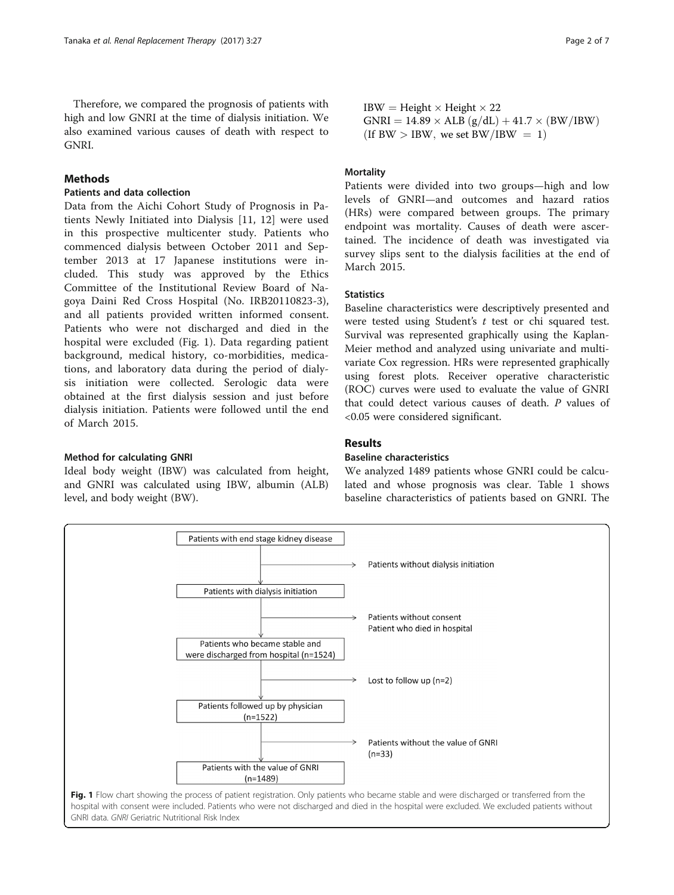## Methods

## Patients and data collection

Data from the Aichi Cohort Study of Prognosis in Patients Newly Initiated into Dialysis [[11, 12](#page-6-0)] were used in this prospective multicenter study. Patients who commenced dialysis between October 2011 and September 2013 at 17 Japanese institutions were included. This study was approved by the Ethics Committee of the Institutional Review Board of Nagoya Daini Red Cross Hospital (No. IRB20110823-3), and all patients provided written informed consent. Patients who were not discharged and died in the hospital were excluded (Fig. 1). Data regarding patient background, medical history, co-morbidities, medications, and laboratory data during the period of dialysis initiation were collected. Serologic data were obtained at the first dialysis session and just before dialysis initiation. Patients were followed until the end of March 2015.

### Method for calculating GNRI

Ideal body weight (IBW) was calculated from height, and GNRI was calculated using IBW, albumin (ALB) level, and body weight (BW).

 $IBW = Height \times Height \times 22$  $GNRI = 14.89 \times ALB (g/dL) + 41.7 \times (BW/IBW)$ (If BW  $>$  IBW, we set BW/IBW  $= 1$ )

## **Mortality**

Patients were divided into two groups—high and low levels of GNRI—and outcomes and hazard ratios (HRs) were compared between groups. The primary endpoint was mortality. Causes of death were ascertained. The incidence of death was investigated via survey slips sent to the dialysis facilities at the end of March 2015.

## **Statistics**

Baseline characteristics were descriptively presented and were tested using Student's t test or chi squared test. Survival was represented graphically using the Kaplan-Meier method and analyzed using univariate and multivariate Cox regression. HRs were represented graphically using forest plots. Receiver operative characteristic (ROC) curves were used to evaluate the value of GNRI that could detect various causes of death. P values of <0.05 were considered significant.

## Results

## Baseline characteristics

We analyzed 1489 patients whose GNRI could be calculated and whose prognosis was clear. Table [1](#page-2-0) shows baseline characteristics of patients based on GNRI. The

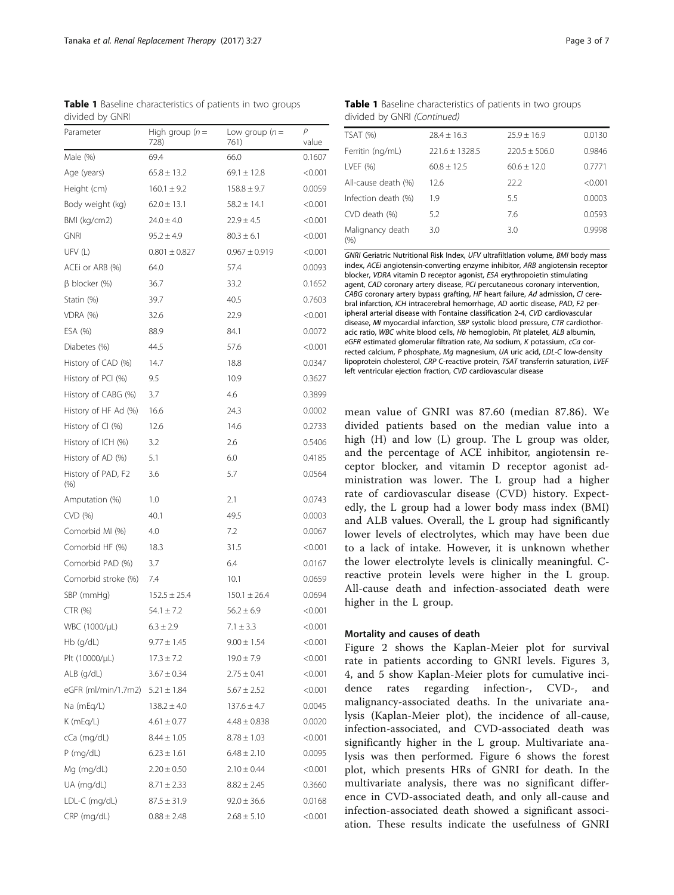<span id="page-2-0"></span>Table 1 Baseline characteristics of patients in two groups divided by GNRI

| Parameter                     | High group $(n=$<br>728) | Low group $(n =$<br>761) | P<br>value |
|-------------------------------|--------------------------|--------------------------|------------|
| Male (%)                      | 69.4                     | 66.0                     | 0.1607     |
| Age (years)                   | $65.8 \pm 13.2$          | $69.1 \pm 12.8$          | < 0.001    |
| Height (cm)                   | $160.1 \pm 9.2$          | $158.8 \pm 9.7$          | 0.0059     |
| Body weight (kg)              | $62.0 \pm 13.1$          | $58.2 \pm 14.1$          | < 0.001    |
| BMI (kg/cm2)                  | $24.0 \pm 4.0$           | $22.9 \pm 4.5$           | < 0.001    |
| <b>GNRI</b>                   | $95.2 \pm 4.9$           | $80.3 \pm 6.1$           | < 0.001    |
| UFV(L)                        | $0.801 \pm 0.827$        | $0.967 \pm 0.919$        | < 0.001    |
| ACEi or ARB (%)               | 64.0                     | 57.4                     | 0.0093     |
| $\beta$ blocker (%)           | 36.7                     | 33.2                     | 0.1652     |
| Statin (%)                    | 39.7                     | 40.5                     | 0.7603     |
| VDRA (%)                      | 32.6                     | 22.9                     | < 0.001    |
| ESA (%)                       | 88.9                     | 84.1                     | 0.0072     |
| Diabetes (%)                  | 44.5                     | 57.6                     | < 0.001    |
| History of CAD (%)            | 14.7                     | 18.8                     | 0.0347     |
| History of PCI (%)            | 9.5                      | 10.9                     | 0.3627     |
| History of CABG (%)           | 3.7                      | 4.6                      | 0.3899     |
| History of HF Ad (%)          | 16.6                     | 24.3                     | 0.0002     |
| History of CI (%)             | 12.6                     | 14.6                     | 0.2733     |
| History of ICH (%)            | 3.2                      | 2.6                      | 0.5406     |
| History of AD (%)             | 5.1                      | 6.0                      | 0.4185     |
| History of PAD, F2<br>$(\% )$ | 3.6                      | 5.7                      | 0.0564     |
| Amputation (%)                | 1.0                      | 2.1                      | 0.0743     |
| CVD (%)                       | 40.1                     | 49.5                     | 0.0003     |
| Comorbid MI (%)               | 4.0                      | 7.2                      | 0.0067     |
| Comorbid HF (%)               | 18.3                     | 31.5                     | < 0.001    |
| Comorbid PAD (%)              | 3.7                      | 6.4                      | 0.0167     |
| Comorbid stroke (%)           | 7.4                      | 10.1                     | 0.0659     |
| SBP (mmHg)                    | $152.5 \pm 25.4$         | $150.1 \pm 26.4$         | 0.0694     |
| CTR (%)                       | $54.1 \pm 7.2$           | $56.2 \pm 6.9$           | < 0.001    |
| WBC (1000/µL)                 | $6.3 \pm 2.9$            | $7.1 \pm 3.3$            | < 0.001    |
| Hb (g/dL)                     | $9.77 \pm 1.45$          | $9.00 \pm 1.54$          | < 0.001    |
| Plt (10000/µL)                | $17.3 \pm 7.2$           | $19.0 \pm 7.9$           | < 0.001    |
| ALB (g/dL)                    | $3.67 \pm 0.34$          | $2.75 \pm 0.41$          | < 0.001    |
| eGFR (ml/min/1.7m2)           | $5.21 \pm 1.84$          | $5.67 \pm 2.52$          | < 0.001    |
| Na (mEq/L)                    | $138.2 \pm 4.0$          | $137.6 \pm 4.7$          | 0.0045     |
| K (mEq/L)                     | $4.61 \pm 0.77$          | $4.48 \pm 0.838$         | 0.0020     |
| cCa (mg/dL)                   | $8.44 \pm 1.05$          | $8.78 \pm 1.03$          | < 0.001    |
| $P$ (mg/dL)                   | $6.23 \pm 1.61$          | $6.48 \pm 2.10$          | 0.0095     |
| Mg (mg/dL)                    | $2.20 \pm 0.50$          | $2.10 \pm 0.44$          | < 0.001    |
| UA (mg/dL)                    | $8.71 \pm 2.33$          | $8.82 \pm 2.45$          | 0.3660     |
| LDL-C (mg/dL)                 | $87.5 \pm 31.9$          | $92.0 \pm 36.6$          | 0.0168     |
| CRP (mg/dL)                   | $0.88 \pm 2.48$          | $2.68 \pm 5.10$          | < 0.001    |

Table 1 Baseline characteristics of patients in two groups divided by GNRI (Continued)

| <b>TSAT (%)</b>         | $28.4 \pm 16.3$    | $25.9 \pm 16.9$   | 0.0130  |
|-------------------------|--------------------|-------------------|---------|
| Ferritin (ng/mL)        | $221.6 \pm 1328.5$ | $220.5 \pm 506.0$ | 0.9846  |
| LVEF $(% )$             | $60.8 \pm 12.5$    | $60.6 + 12.0$     | 0.7771  |
| All-cause death (%)     | 12.6               | 22.2              | < 0.001 |
| Infection death (%)     | 1.9                | 5.5               | 0.0003  |
| CVD death (%)           | 5.2                | 7.6               | 0.0593  |
| Malignancy death<br>(%) | 3.0                | 3.0               | 0.9998  |

GNRI Geriatric Nutritional Risk Index, UFV ultrafiltlation volume, BMI body mass index, ACEi angiotensin-converting enzyme inhibitor, ARB angiotensin receptor blocker, VDRA vitamin D receptor agonist, ESA erythropoietin stimulating agent, CAD coronary artery disease, PCI percutaneous coronary intervention, CABG coronary artery bypass grafting, HF heart failure, Ad admission, CI cerebral infarction, ICH intracerebral hemorrhage, AD aortic disease, PAD, F2 peripheral arterial disease with Fontaine classification 2-4, CVD cardiovascular disease, MI myocardial infarction, SBP systolic blood pressure, CTR cardiothoracic ratio, WBC white blood cells, Hb hemoglobin, Plt platelet, ALB albumin, eGFR estimated glomerular filtration rate, Na sodium, K potassium, cCa corrected calcium, P phosphate, Mg magnesium, UA uric acid, LDL-C low-density lipoprotein cholesterol, CRP C-reactive protein, TSAT transferrin saturation, LVEF left ventricular ejection fraction, CVD cardiovascular disease

mean value of GNRI was 87.60 (median 87.86). We divided patients based on the median value into a high (H) and low (L) group. The L group was older, and the percentage of ACE inhibitor, angiotensin receptor blocker, and vitamin D receptor agonist administration was lower. The L group had a higher rate of cardiovascular disease (CVD) history. Expectedly, the L group had a lower body mass index (BMI) and ALB values. Overall, the L group had significantly lower levels of electrolytes, which may have been due to a lack of intake. However, it is unknown whether the lower electrolyte levels is clinically meaningful. Creactive protein levels were higher in the L group. All-cause death and infection-associated death were higher in the L group.

## Mortality and causes of death

Figure [2](#page-3-0) shows the Kaplan-Meier plot for survival rate in patients according to GNRI levels. Figures [3](#page-3-0), [4,](#page-3-0) and [5](#page-3-0) show Kaplan-Meier plots for cumulative incidence rates regarding infection-, CVD-, and malignancy-associated deaths. In the univariate analysis (Kaplan-Meier plot), the incidence of all-cause, infection-associated, and CVD-associated death was significantly higher in the L group. Multivariate analysis was then performed. Figure [6](#page-4-0) shows the forest plot, which presents HRs of GNRI for death. In the multivariate analysis, there was no significant difference in CVD-associated death, and only all-cause and infection-associated death showed a significant association. These results indicate the usefulness of GNRI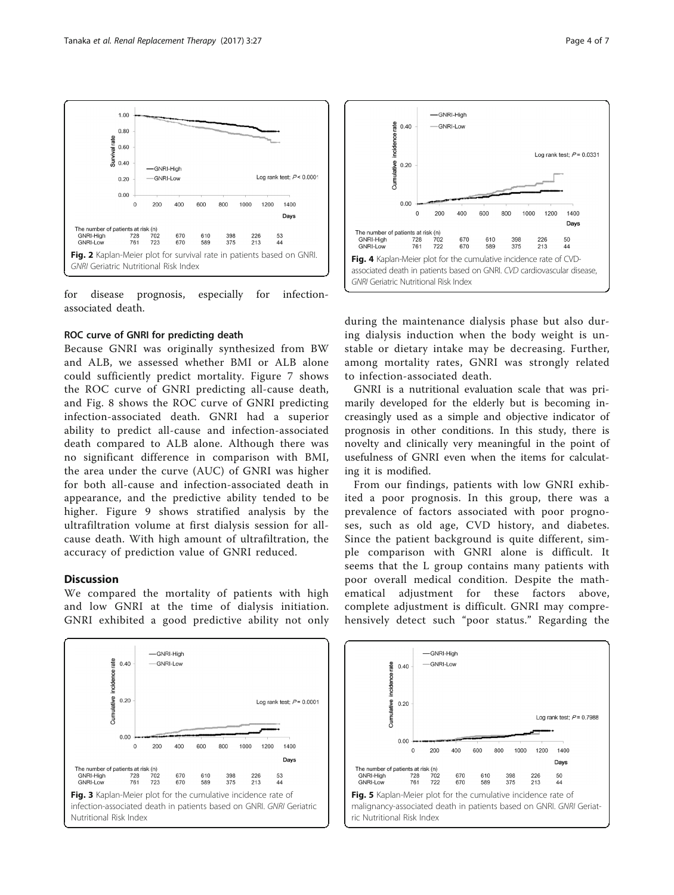

<span id="page-3-0"></span>

for disease prognosis, especially for infectionassociated death.

## ROC curve of GNRI for predicting death

Because GNRI was originally synthesized from BW and ALB, we assessed whether BMI or ALB alone could sufficiently predict mortality. Figure [7](#page-4-0) shows the ROC curve of GNRI predicting all-cause death, and Fig. [8](#page-5-0) shows the ROC curve of GNRI predicting infection-associated death. GNRI had a superior ability to predict all-cause and infection-associated death compared to ALB alone. Although there was no significant difference in comparison with BMI, the area under the curve (AUC) of GNRI was higher for both all-cause and infection-associated death in appearance, and the predictive ability tended to be higher. Figure [9](#page-5-0) shows stratified analysis by the ultrafiltration volume at first dialysis session for allcause death. With high amount of ultrafiltration, the accuracy of prediction value of GNRI reduced.

## **Discussion**

We compared the mortality of patients with high and low GNRI at the time of dialysis initiation. GNRI exhibited a good predictive ability not only





during the maintenance dialysis phase but also during dialysis induction when the body weight is unstable or dietary intake may be decreasing. Further, among mortality rates, GNRI was strongly related to infection-associated death.

GNRI is a nutritional evaluation scale that was primarily developed for the elderly but is becoming increasingly used as a simple and objective indicator of prognosis in other conditions. In this study, there is novelty and clinically very meaningful in the point of usefulness of GNRI even when the items for calculating it is modified.

From our findings, patients with low GNRI exhibited a poor prognosis. In this group, there was a prevalence of factors associated with poor prognoses, such as old age, CVD history, and diabetes. Since the patient background is quite different, simple comparison with GNRI alone is difficult. It seems that the L group contains many patients with poor overall medical condition. Despite the mathematical adjustment for these factors above, complete adjustment is difficult. GNRI may comprehensively detect such "poor status." Regarding the

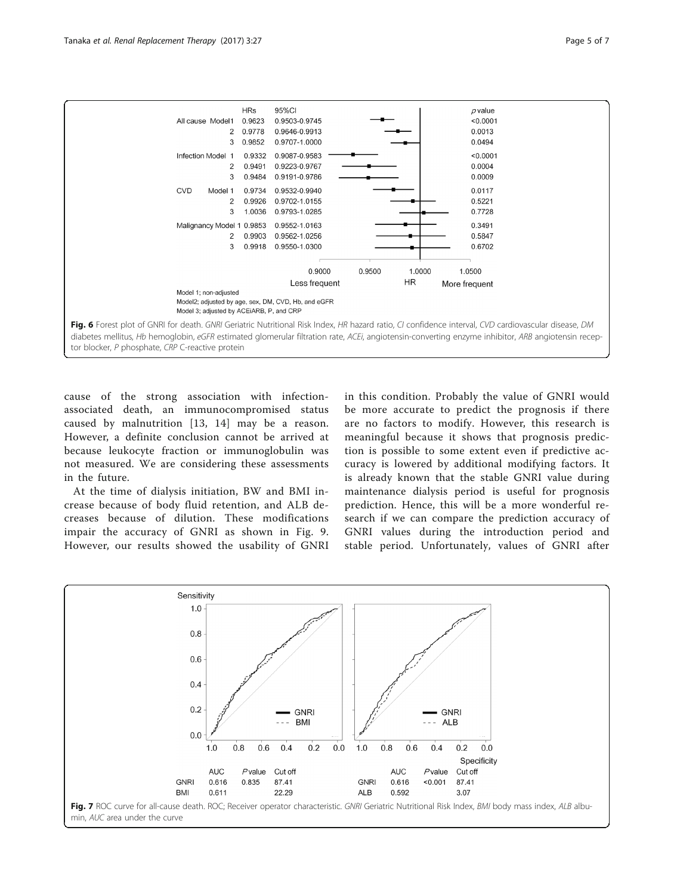<span id="page-4-0"></span>

cause of the strong association with infectionassociated death, an immunocompromised status caused by malnutrition [[13](#page-6-0), [14](#page-6-0)] may be a reason. However, a definite conclusion cannot be arrived at because leukocyte fraction or immunoglobulin was not measured. We are considering these assessments in the future.

At the time of dialysis initiation, BW and BMI increase because of body fluid retention, and ALB decreases because of dilution. These modifications impair the accuracy of GNRI as shown in Fig. [9](#page-5-0). However, our results showed the usability of GNRI in this condition. Probably the value of GNRI would be more accurate to predict the prognosis if there are no factors to modify. However, this research is meaningful because it shows that prognosis prediction is possible to some extent even if predictive accuracy is lowered by additional modifying factors. It is already known that the stable GNRI value during maintenance dialysis period is useful for prognosis prediction. Hence, this will be a more wonderful research if we can compare the prediction accuracy of GNRI values during the introduction period and stable period. Unfortunately, values of GNRI after

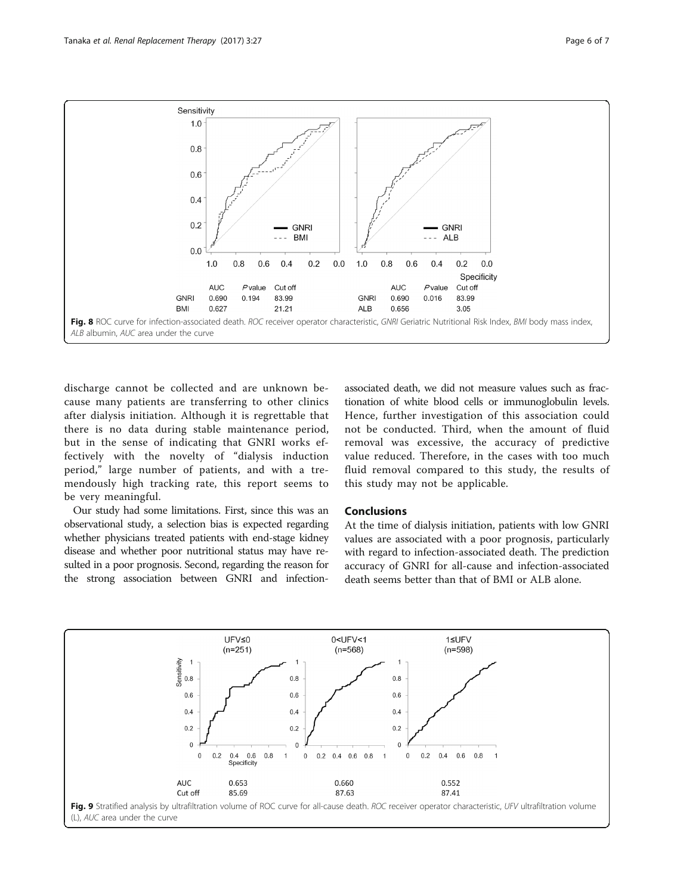

<span id="page-5-0"></span>

discharge cannot be collected and are unknown because many patients are transferring to other clinics after dialysis initiation. Although it is regrettable that there is no data during stable maintenance period, but in the sense of indicating that GNRI works effectively with the novelty of "dialysis induction period," large number of patients, and with a tremendously high tracking rate, this report seems to be very meaningful.

Our study had some limitations. First, since this was an observational study, a selection bias is expected regarding whether physicians treated patients with end-stage kidney disease and whether poor nutritional status may have resulted in a poor prognosis. Second, regarding the reason for the strong association between GNRI and infection-

associated death, we did not measure values such as fractionation of white blood cells or immunoglobulin levels. Hence, further investigation of this association could not be conducted. Third, when the amount of fluid removal was excessive, the accuracy of predictive value reduced. Therefore, in the cases with too much fluid removal compared to this study, the results of this study may not be applicable.

## Conclusions

At the time of dialysis initiation, patients with low GNRI values are associated with a poor prognosis, particularly with regard to infection-associated death. The prediction accuracy of GNRI for all-cause and infection-associated death seems better than that of BMI or ALB alone.